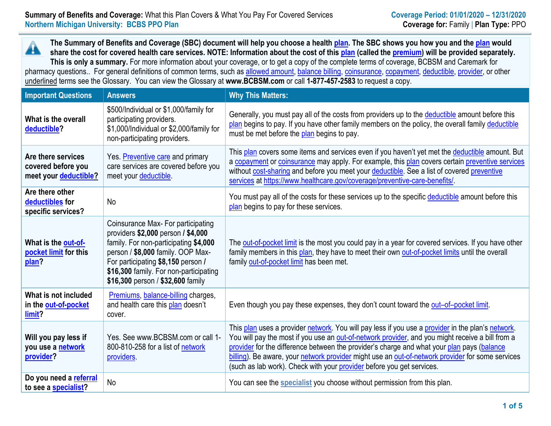**The Summary of Benefits and Coverage (SBC) document will help you choose a health [plan.](https://www.healthcare.gov/sbc-glossary/#plan) The SBC shows you how you and th[e plan](https://www.healthcare.gov/sbc-glossary/#plan) would** Â **share the cost for covered health care services. NOTE: Information about the cost of this [plan](https://www.healthcare.gov/sbc-glossary/#plan) (called the [premium\)](https://www.healthcare.gov/sbc-glossary/#premium) will be provided separately. This is only a summary.** For more information about your coverage, or to get a copy of the complete terms of coverage, BCBSM and Caremark for pharmacy questions.. For general definitions of common terms, such as [allowed amount,](https://www.healthcare.gov/sbc-glossary/#allowed-amount) [balance billing,](https://www.healthcare.gov/sbc-glossary/#balance-billing) [coinsurance,](https://www.healthcare.gov/sbc-glossary/#coinsurance) [copayment,](https://www.healthcare.gov/sbc-glossary/#copayment) [deductible,](https://www.healthcare.gov/sbc-glossary/#deductible) [provider,](https://www.healthcare.gov/sbc-glossary/#provider) or other underlined terms see the Glossary. You can view the Glossary at **www.BCBSM.com** or call **1-877-457-2583** to request a copy.

| <b>Important Questions</b>                                        | <b>Answers</b>                                                                                                                                                                                                                                                              | <b>Why This Matters:</b>                                                                                                                                                                                                                                                                                                                                                                                                                                                         |
|-------------------------------------------------------------------|-----------------------------------------------------------------------------------------------------------------------------------------------------------------------------------------------------------------------------------------------------------------------------|----------------------------------------------------------------------------------------------------------------------------------------------------------------------------------------------------------------------------------------------------------------------------------------------------------------------------------------------------------------------------------------------------------------------------------------------------------------------------------|
| What is the overall<br>deductible?                                | \$500/Individual or \$1,000/family for<br>participating providers.<br>\$1,000/Individual or \$2,000/family for<br>non-participating providers.                                                                                                                              | Generally, you must pay all of the costs from providers up to the deductible amount before this<br>plan begins to pay. If you have other family members on the policy, the overall family deductible<br>must be met before the plan begins to pay.                                                                                                                                                                                                                               |
| Are there services<br>covered before you<br>meet your deductible? | Yes. Preventive care and primary<br>care services are covered before you<br>meet your deductible.                                                                                                                                                                           | This plan covers some items and services even if you haven't yet met the deductible amount. But<br>a copayment or coinsurance may apply. For example, this plan covers certain preventive services<br>without cost-sharing and before you meet your deductible. See a list of covered preventive<br>services at https://www.healthcare.gov/coverage/preventive-care-benefits/                                                                                                    |
| Are there other<br>deductibles for<br>specific services?          | <b>No</b>                                                                                                                                                                                                                                                                   | You must pay all of the costs for these services up to the specific deductible amount before this<br>plan begins to pay for these services.                                                                                                                                                                                                                                                                                                                                      |
| What is the out-of-<br>pocket limit for this<br>plan?             | Coinsurance Max- For participating<br>providers \$2,000 person / \$4,000<br>family. For non-participating \$4,000<br>person / \$8,000 family. OOP Max-<br>For participating \$8,150 person /<br>\$16,300 family. For non-participating<br>\$16,300 person / \$32,600 family | The out-of-pocket limit is the most you could pay in a year for covered services. If you have other<br>family members in this plan, they have to meet their own out-of-pocket limits until the overall<br>family out-of-pocket limit has been met.                                                                                                                                                                                                                               |
| What is not included<br>in the out-of-pocket<br>limit?            | Premiums, balance-billing charges,<br>and health care this plan doesn't<br>cover.                                                                                                                                                                                           | Even though you pay these expenses, they don't count toward the out-of-pocket limit.                                                                                                                                                                                                                                                                                                                                                                                             |
| Will you pay less if<br>you use a network<br>provider?            | Yes. See www.BCBSM.com or call 1-<br>800-810-258 for a list of network<br>providers.                                                                                                                                                                                        | This plan uses a provider network. You will pay less if you use a provider in the plan's network.<br>You will pay the most if you use an out-of-network provider, and you might receive a bill from a<br>provider for the difference between the provider's charge and what your plan pays (balance<br>billing). Be aware, your network provider might use an out-of-network provider for some services<br>(such as lab work). Check with your provider before you get services. |
| Do you need a referral<br>to see a specialist?                    | No                                                                                                                                                                                                                                                                          | You can see the <b>specialist</b> you choose without permission from this plan.                                                                                                                                                                                                                                                                                                                                                                                                  |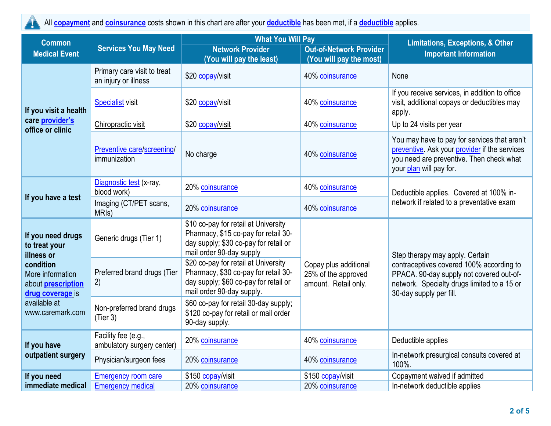All **[copayment](https://www.healthcare.gov/sbc-glossary/#copayment)** and **[coinsurance](https://www.healthcare.gov/sbc-glossary/#coinsurance)** costs shown in this chart are after your **[deductible](https://www.healthcare.gov/sbc-glossary/#deductible)** has been met, if a **[deductible](https://www.healthcare.gov/sbc-glossary/#deductible)** applies.

| <b>Common</b>                                                                                                                                                          | <b>Services You May Need</b>                        | <b>What You Will Pay</b>                                                                                                                           | <b>Limitations, Exceptions, &amp; Other</b>                          |                                                                                                                                                                                                   |  |
|------------------------------------------------------------------------------------------------------------------------------------------------------------------------|-----------------------------------------------------|----------------------------------------------------------------------------------------------------------------------------------------------------|----------------------------------------------------------------------|---------------------------------------------------------------------------------------------------------------------------------------------------------------------------------------------------|--|
| <b>Medical Event</b>                                                                                                                                                   |                                                     | <b>Network Provider</b><br>(You will pay the least)                                                                                                | <b>Out-of-Network Provider</b><br>(You will pay the most)            | <b>Important Information</b>                                                                                                                                                                      |  |
| If you visit a health                                                                                                                                                  | Primary care visit to treat<br>an injury or illness | \$20 copay/visit                                                                                                                                   | 40% coinsurance                                                      | None                                                                                                                                                                                              |  |
|                                                                                                                                                                        | <b>Specialist visit</b>                             | \$20 copay/visit                                                                                                                                   | 40% coinsurance                                                      | If you receive services, in addition to office<br>visit, additional copays or deductibles may<br>apply.                                                                                           |  |
| care provider's<br>office or clinic                                                                                                                                    | Chiropractic visit                                  | \$20 copay/visit                                                                                                                                   | 40% coinsurance                                                      | Up to 24 visits per year                                                                                                                                                                          |  |
|                                                                                                                                                                        | Preventive care/screening/<br>immunization          | No charge                                                                                                                                          | 40% coinsurance                                                      | You may have to pay for services that aren't<br>preventive. Ask your provider if the services<br>you need are preventive. Then check what<br>your plan will pay for.                              |  |
| If you have a test                                                                                                                                                     | Diagnostic test (x-ray,<br>blood work)              | 20% coinsurance                                                                                                                                    | 40% coinsurance                                                      | Deductible applies. Covered at 100% in-                                                                                                                                                           |  |
|                                                                                                                                                                        | Imaging (CT/PET scans,<br>MRI <sub>s</sub> )        | 20% coinsurance                                                                                                                                    | 40% coinsurance                                                      | network if related to a preventative exam                                                                                                                                                         |  |
| If you need drugs<br>to treat your<br>illness or<br>condition<br>More information<br>about <b>prescription</b><br>drug coverage is<br>available at<br>www.caremark.com | Generic drugs (Tier 1)                              | \$10 co-pay for retail at University<br>Pharmacy, \$15 co-pay for retail 30-<br>day supply; \$30 co-pay for retail or<br>mail order 90-day supply  |                                                                      | Step therapy may apply. Certain<br>contraceptives covered 100% according to<br>PPACA. 90-day supply not covered out-of-<br>network. Specialty drugs limited to a 15 or<br>30-day supply per fill. |  |
|                                                                                                                                                                        | Preferred brand drugs (Tier<br>2)                   | \$20 co-pay for retail at University<br>Pharmacy, \$30 co-pay for retail 30-<br>day supply; \$60 co-pay for retail or<br>mail order 90-day supply. | Copay plus additional<br>25% of the approved<br>amount. Retail only. |                                                                                                                                                                                                   |  |
|                                                                                                                                                                        | Non-preferred brand drugs<br>(Tier 3)               | \$60 co-pay for retail 30-day supply;<br>\$120 co-pay for retail or mail order<br>90-day supply.                                                   |                                                                      |                                                                                                                                                                                                   |  |
| If you have                                                                                                                                                            | Facility fee (e.g.,<br>ambulatory surgery center)   | 20% coinsurance                                                                                                                                    | 40% coinsurance                                                      | Deductible applies                                                                                                                                                                                |  |
| outpatient surgery                                                                                                                                                     | Physician/surgeon fees                              | 20% coinsurance                                                                                                                                    | 40% coinsurance                                                      | In-network presurgical consults covered at<br>100%.                                                                                                                                               |  |
| If you need                                                                                                                                                            | <b>Emergency room care</b>                          | \$150 copay/visit                                                                                                                                  | \$150 copay/visit                                                    | Copayment waived if admitted                                                                                                                                                                      |  |
| immediate medical                                                                                                                                                      | <b>Emergency medical</b>                            | 20% coinsurance                                                                                                                                    | 20% coinsurance                                                      | In-network deductible applies                                                                                                                                                                     |  |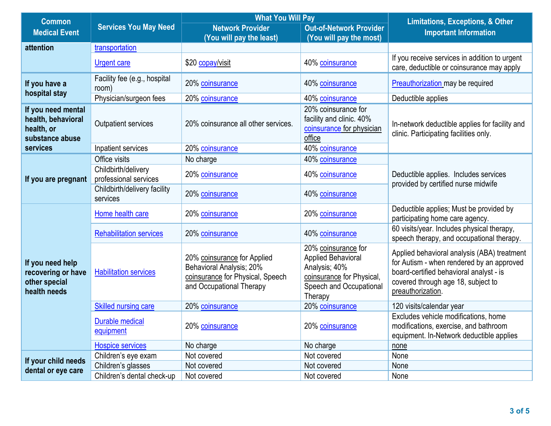| <b>Common</b>                                                             |                                              | <b>What You Will Pay</b>                                                                                                | <b>Limitations, Exceptions, &amp; Other</b>                                                                                   |                                                                                                                                                                                                |  |
|---------------------------------------------------------------------------|----------------------------------------------|-------------------------------------------------------------------------------------------------------------------------|-------------------------------------------------------------------------------------------------------------------------------|------------------------------------------------------------------------------------------------------------------------------------------------------------------------------------------------|--|
| <b>Medical Event</b>                                                      | <b>Services You May Need</b>                 | <b>Network Provider</b>                                                                                                 | <b>Out-of-Network Provider</b>                                                                                                | <b>Important Information</b>                                                                                                                                                                   |  |
| attention                                                                 | transportation                               | (You will pay the least)                                                                                                | (You will pay the most)                                                                                                       |                                                                                                                                                                                                |  |
|                                                                           | Urgent care                                  | \$20 copay/visit                                                                                                        | 40% coinsurance                                                                                                               | If you receive services in addition to urgent<br>care, deductible or coinsurance may apply                                                                                                     |  |
| If you have a<br>hospital stay                                            | Facility fee (e.g., hospital<br>room)        | 20% coinsurance                                                                                                         | 40% coinsurance                                                                                                               | Preauthorization may be required                                                                                                                                                               |  |
|                                                                           | Physician/surgeon fees                       | 20% coinsurance                                                                                                         | 40% coinsurance                                                                                                               | Deductible applies                                                                                                                                                                             |  |
| If you need mental<br>health, behavioral<br>health, or<br>substance abuse | Outpatient services                          | 20% coinsurance all other services.                                                                                     | 20% coinsurance for<br>facility and clinic. 40%<br>coinsurance for physician<br>office                                        | In-network deductible applies for facility and<br>clinic. Participating facilities only.                                                                                                       |  |
| services                                                                  | Inpatient services                           | 20% coinsurance                                                                                                         | 40% coinsurance                                                                                                               |                                                                                                                                                                                                |  |
|                                                                           | Office visits                                | No charge                                                                                                               | 40% coinsurance                                                                                                               |                                                                                                                                                                                                |  |
| If you are pregnant                                                       | Childbirth/delivery<br>professional services | 20% coinsurance                                                                                                         | 40% coinsurance                                                                                                               | Deductible applies. Includes services<br>provided by certified nurse midwife                                                                                                                   |  |
|                                                                           | Childbirth/delivery facility<br>services     | 20% coinsurance                                                                                                         | 40% coinsurance                                                                                                               |                                                                                                                                                                                                |  |
|                                                                           | Home health care                             | 20% coinsurance                                                                                                         | 20% coinsurance                                                                                                               | Deductible applies; Must be provided by<br>participating home care agency.                                                                                                                     |  |
|                                                                           | <b>Rehabilitation services</b>               | 20% coinsurance                                                                                                         | 40% coinsurance                                                                                                               | 60 visits/year. Includes physical therapy,<br>speech therapy, and occupational therapy.                                                                                                        |  |
| If you need help<br>recovering or have<br>other special<br>health needs   | <b>Habilitation services</b>                 | 20% coinsurance for Applied<br>Behavioral Analysis; 20%<br>coinsurance for Physical, Speech<br>and Occupational Therapy | 20% coinsurance for<br>Applied Behavioral<br>Analysis; 40%<br>coinsurance for Physical,<br>Speech and Occupational<br>Therapy | Applied behavioral analysis (ABA) treatment<br>for Autism - when rendered by an approved<br>board-certified behavioral analyst - is<br>covered through age 18, subject to<br>preauthorization. |  |
|                                                                           | <b>Skilled nursing care</b>                  | 20% coinsurance                                                                                                         | 20% coinsurance                                                                                                               | 120 visits/calendar year                                                                                                                                                                       |  |
|                                                                           | Durable medical<br>equipment                 | 20% coinsurance                                                                                                         | 20% coinsurance                                                                                                               | Excludes vehicle modifications, home<br>modifications, exercise, and bathroom<br>equipment. In-Network deductible applies                                                                      |  |
|                                                                           | <b>Hospice services</b>                      | No charge                                                                                                               | No charge                                                                                                                     | none                                                                                                                                                                                           |  |
| If your child needs                                                       | Children's eye exam                          | Not covered                                                                                                             | Not covered                                                                                                                   | None                                                                                                                                                                                           |  |
| dental or eye care                                                        | Children's glasses                           | Not covered                                                                                                             | Not covered                                                                                                                   | None                                                                                                                                                                                           |  |
|                                                                           | Children's dental check-up                   | Not covered                                                                                                             | Not covered                                                                                                                   | None                                                                                                                                                                                           |  |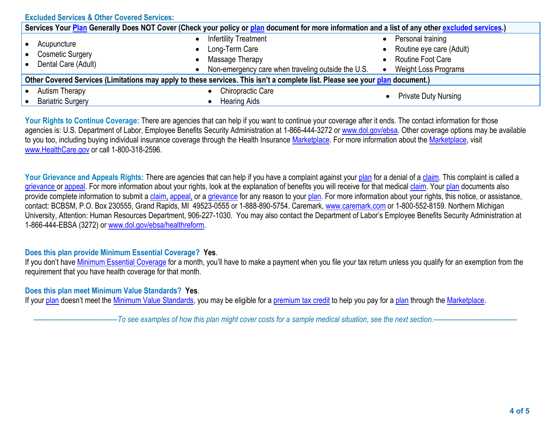**Excluded Services & Other Covered Services:**

| Services Your Plan Generally Does NOT Cover (Check your policy or plan document for more information and a list of any other excluded services.) |                                                               |                                                                                                                         |           |                                                                                                          |  |
|--------------------------------------------------------------------------------------------------------------------------------------------------|---------------------------------------------------------------|-------------------------------------------------------------------------------------------------------------------------|-----------|----------------------------------------------------------------------------------------------------------|--|
|                                                                                                                                                  | Acupuncture<br><b>Cosmetic Surgery</b><br>Dental Care (Adult) | <b>Infertility Treatment</b><br>Long-Term Care<br>Massage Therapy<br>Non-emergency care when traveling outside the U.S. | $\bullet$ | Personal training<br>Routine eye care (Adult)<br><b>Routine Foot Care</b><br><b>Weight Loss Programs</b> |  |
| Other Covered Services (Limitations may apply to these services. This isn't a complete list. Please see your plan document.)                     |                                                               |                                                                                                                         |           |                                                                                                          |  |
|                                                                                                                                                  | <b>Autism Therapy</b><br><b>Bariatric Surgery</b>             | Chiropractic Care<br><b>Hearing Aids</b>                                                                                |           | <b>Private Duty Nursing</b>                                                                              |  |

Your Rights to Continue Coverage: There are agencies that can help if you want to continue your coverage after it ends. The contact information for those agencies is: U.S. Department of Labor, Employee Benefits Security Administration at 1-866-444-3272 o[r www.dol.gov/ebsa.](http://www.dol.gov/ebsa) Other coverage options may be available to you too, including buying individual insurance coverage through the Health Insurance [Marketplace.](https://www.healthcare.gov/sbc-glossary/#marketplace) For more information about the [Marketplace,](https://www.healthcare.gov/sbc-glossary/#marketplace) visit [www.HealthCare.gov](http://www.healthcare.gov/) or call 1-800-318-2596.

Your Grievance and Appeals Rights: There are agencies that can help if you have a complaint against you[r plan](https://www.healthcare.gov/sbc-glossary/#plan) for a denial of a [claim.](https://www.healthcare.gov/sbc-glossary/#claim) This complaint is called a [grievance](https://www.healthcare.gov/sbc-glossary/#grievance) or [appeal.](https://www.healthcare.gov/sbc-glossary/#appeal) For more information about your rights, look at the explanation of benefits you will receive for that medica[l claim.](https://www.healthcare.gov/sbc-glossary/#claim) Your [plan](https://www.healthcare.gov/sbc-glossary/#plan) documents also provide complete information to submit a [claim,](https://www.healthcare.gov/sbc-glossary/#claim) [appeal,](https://www.healthcare.gov/sbc-glossary/#appeal) or a [grievance](https://www.healthcare.gov/sbc-glossary/#grievance) for any reason to your [plan.](https://www.healthcare.gov/sbc-glossary/#plan) For more information about your rights, this notice, or assistance, contact: BCBSM, P.O. Box 230555, Grand Rapids, MI 49523-0555 or 1-888-890-5754. Caremark, [www.caremark.com](http://www.caremark.com/) or 1-800-552-8159. Northern Michigan University, Attention: Human Resources Department, 906-227-1030. You may also contact the Department of Labor's Employee Benefits Security Administration at 1-866-444-EBSA (3272) or [www.dol.gov/ebsa/healthreform.](http://www.dol.gov/ebsa/healthreform)

## **Does this plan provide Minimum Essential Coverage? Yes**.

If you don't have [Minimum Essential Coverage](https://www.healthcare.gov/sbc-glossary/#minimum-essential-coverage) for a month, you'll have to make a payment when you file your tax return unless you qualify for an exemption from the requirement that you have health coverage for that month.

## **Does this plan meet Minimum Value Standards? Yes**.

If your [plan](https://www.healthcare.gov/sbc-glossary/#plan) doesn't meet the [Minimum Value Standards,](https://www.healthcare.gov/sbc-glossary/#minimum-value-standard) you may be eligible for a [premium tax credit](https://www.healthcare.gov/sbc-glossary/#premium-tax-credits) to help you pay for a plan through the [Marketplace.](https://www.healthcare.gov/sbc-glossary/#marketplace)

––––––––––––––––––––––*To see examples of how this plan might cover costs for a sample medical situation, see the next section.–––––––––––*–––––––––––